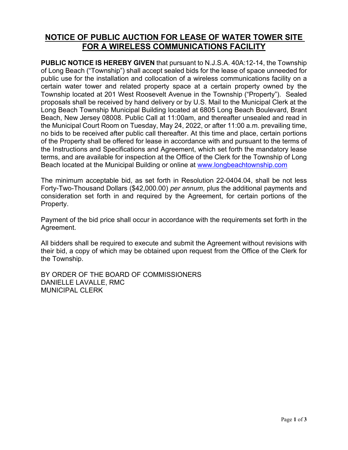## **NOTICE OF PUBLIC AUCTION FOR LEASE OF WATER TOWER SITE FOR A WIRELESS COMMUNICATIONS FACILITY**

**PUBLIC NOTICE IS HEREBY GIVEN** that pursuant to N.J.S.A. 40A:12-14, the Township of Long Beach ("Township") shall accept sealed bids for the lease of space unneeded for public use for the installation and collocation of a wireless communications facility on a certain water tower and related property space at a certain property owned by the Township located at 201 West Roosevelt Avenue in the Township ("Property"). Sealed proposals shall be received by hand delivery or by U.S. Mail to the Municipal Clerk at the Long Beach Township Municipal Building located at 6805 Long Beach Boulevard, Brant Beach, New Jersey 08008. Public Call at 11:00am, and thereafter unsealed and read in the Municipal Court Room on Tuesday, May 24, 2022, or after 11:00 a.m. prevailing time, no bids to be received after public call thereafter. At this time and place, certain portions of the Property shall be offered for lease in accordance with and pursuant to the terms of the Instructions and Specifications and Agreement, which set forth the mandatory lease terms, and are available for inspection at the Office of the Clerk for the Township of Long Beach located at the Municipal Building or online at [www.longbeachtownship.com](http://www.longbeachtownship.com/)

The minimum acceptable bid, as set forth in Resolution 22-0404.04, shall be not less Forty-Two-Thousand Dollars (\$42,000.00) *per annum*, plus the additional payments and consideration set forth in and required by the Agreement, for certain portions of the Property.

Payment of the bid price shall occur in accordance with the requirements set forth in the Agreement.

All bidders shall be required to execute and submit the Agreement without revisions with their bid, a copy of which may be obtained upon request from the Office of the Clerk for the Township.

BY ORDER OF THE BOARD OF COMMISSIONERS DANIELLE LAVALLE, RMC MUNICIPAL CLERK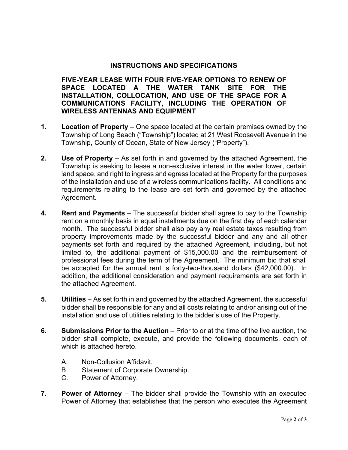## **INSTRUCTIONS AND SPECIFICATIONS**

**FIVE-YEAR LEASE WITH FOUR FIVE-YEAR OPTIONS TO RENEW OF SPACE LOCATED A THE WATER TANK SITE FOR THE INSTALLATION, COLLOCATION, AND USE OF THE SPACE FOR A COMMUNICATIONS FACILITY, INCLUDING THE OPERATION OF WIRELESS ANTENNAS AND EQUIPMENT**

- **1. Location of Property** One space located at the certain premises owned by the Township of Long Beach ("Township") located at 21 West Roosevelt Avenue in the Township, County of Ocean, State of New Jersey ("Property").
- **2. Use of Property** As set forth in and governed by the attached Agreement, the Township is seeking to lease a non-exclusive interest in the water tower, certain land space, and right to ingress and egress located at the Property for the purposes of the installation and use of a wireless communications facility. All conditions and requirements relating to the lease are set forth and governed by the attached Agreement.
- **4. Rent and Payments**  The successful bidder shall agree to pay to the Township rent on a monthly basis in equal installments due on the first day of each calendar month. The successful bidder shall also pay any real estate taxes resulting from property improvements made by the successful bidder and any and all other payments set forth and required by the attached Agreement, including, but not limited to, the additional payment of \$15,000.00 and the reimbursement of professional fees during the term of the Agreement. The minimum bid that shall be accepted for the annual rent is forty-two-thousand dollars (\$42,000.00). In addition, the additional consideration and payment requirements are set forth in the attached Agreement.
- **5. Utilities** As set forth in and governed by the attached Agreement, the successful bidder shall be responsible for any and all costs relating to and/or arising out of the installation and use of utilities relating to the bidder's use of the Property.
- **6. Submissions Prior to the Auction** Prior to or at the time of the live auction, the bidder shall complete, execute, and provide the following documents, each of which is attached hereto.
	- A. Non-Collusion Affidavit.
	- B. Statement of Corporate Ownership.
	- C. Power of Attorney.
- **7. Power of Attorney** The bidder shall provide the Township with an executed Power of Attorney that establishes that the person who executes the Agreement